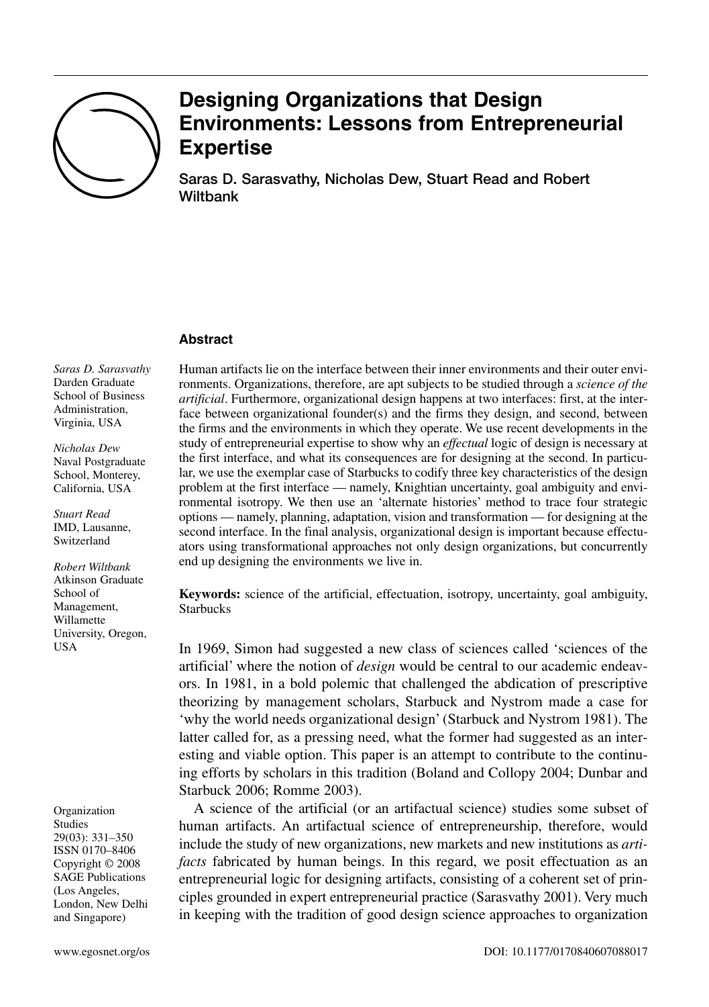

# **Designing Organizations that Design Environments: Lessons from Entrepreneurial Expertise**

**Saras D. Sarasvathy, Nicholas Dew, Stuart Read and Robert Wiltbank**

# **Abstract**

*Saras D. Sarasvathy* Darden Graduate School of Business Administration, Virginia, USA

*Nicholas Dew* Naval Postgraduate School, Monterey, California, USA

*Stuart Read* IMD, Lausanne, Switzerland

*Robert Wiltbank* Atkinson Graduate School of Management, Willamette University, Oregon, USA

Organization Studies 29(03): 331–350 ISSN 0170–8406 Copyright © 2008 SAGE Publications (Los Angeles, London, New Delhi and Singapore)

Human artifacts lie on the interface between their inner environments and their outer environments. Organizations, therefore, are apt subjects to be studied through a *science of the artificial*. Furthermore, organizational design happens at two interfaces: first, at the interface between organizational founder(s) and the firms they design, and second, between the firms and the environments in which they operate. We use recent developments in the study of entrepreneurial expertise to show why an *effectual* logic of design is necessary at the first interface, and what its consequences are for designing at the second. In particular, we use the exemplar case of Starbucks to codify three key characteristics of the design problem at the first interface — namely, Knightian uncertainty, goal ambiguity and environmental isotropy. We then use an 'alternate histories' method to trace four strategic options — namely, planning, adaptation, vision and transformation — for designing at the second interface. In the final analysis, organizational design is important because effectuators using transformational approaches not only design organizations, but concurrently end up designing the environments we live in.

**Keywords:** science of the artificial, effectuation, isotropy, uncertainty, goal ambiguity, **Starbucks** 

In 1969, Simon had suggested a new class of sciences called 'sciences of the artificial' where the notion of *design* would be central to our academic endeavors. In 1981, in a bold polemic that challenged the abdication of prescriptive theorizing by management scholars, Starbuck and Nystrom made a case for 'why the world needs organizational design' (Starbuck and Nystrom 1981). The latter called for, as a pressing need, what the former had suggested as an interesting and viable option. This paper is an attempt to contribute to the continuing efforts by scholars in this tradition (Boland and Collopy 2004; Dunbar and Starbuck 2006; Romme 2003).

A science of the artificial (or an artifactual science) studies some subset of human artifacts. An artifactual science of entrepreneurship, therefore, would include the study of new organizations, new markets and new institutions as *artifacts* fabricated by human beings. In this regard, we posit effectuation as an entrepreneurial logic for designing artifacts, consisting of a coherent set of principles grounded in expert entrepreneurial practice (Sarasvathy 2001). Very much in keeping with the tradition of good design science approaches to organization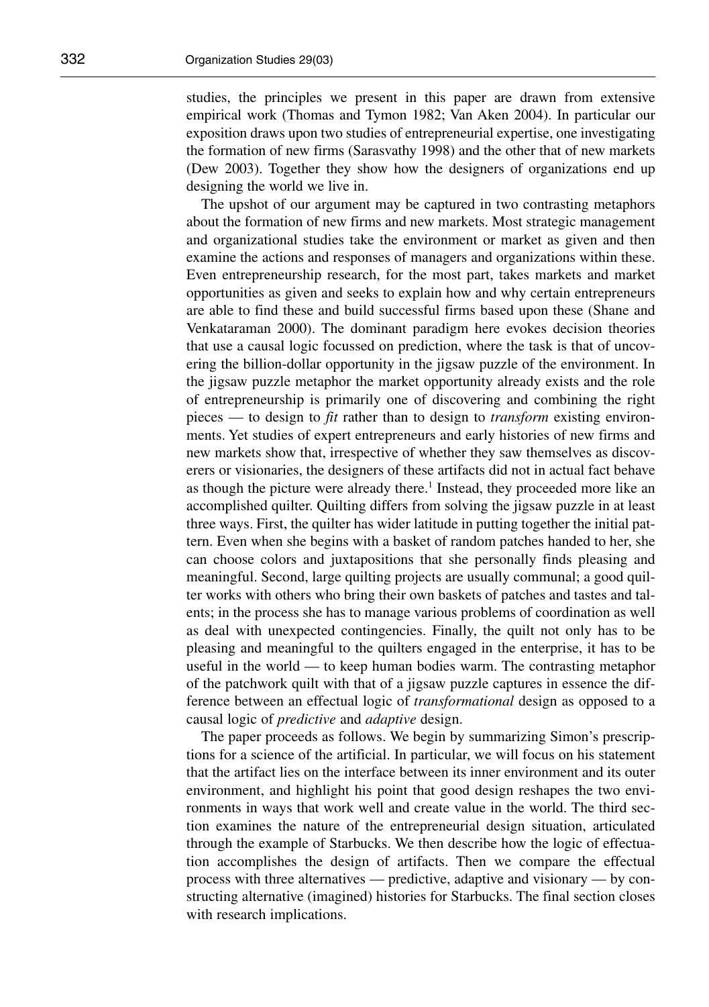studies, the principles we present in this paper are drawn from extensive empirical work (Thomas and Tymon 1982; Van Aken 2004). In particular our exposition draws upon two studies of entrepreneurial expertise, one investigating the formation of new firms (Sarasvathy 1998) and the other that of new markets (Dew 2003). Together they show how the designers of organizations end up designing the world we live in.

The upshot of our argument may be captured in two contrasting metaphors about the formation of new firms and new markets. Most strategic management and organizational studies take the environment or market as given and then examine the actions and responses of managers and organizations within these. Even entrepreneurship research, for the most part, takes markets and market opportunities as given and seeks to explain how and why certain entrepreneurs are able to find these and build successful firms based upon these (Shane and Venkataraman 2000). The dominant paradigm here evokes decision theories that use a causal logic focussed on prediction, where the task is that of uncovering the billion-dollar opportunity in the jigsaw puzzle of the environment. In the jigsaw puzzle metaphor the market opportunity already exists and the role of entrepreneurship is primarily one of discovering and combining the right pieces — to design to *fit* rather than to design to *transform* existing environments. Yet studies of expert entrepreneurs and early histories of new firms and new markets show that, irrespective of whether they saw themselves as discoverers or visionaries, the designers of these artifacts did not in actual fact behave as though the picture were already there.<sup>1</sup> Instead, they proceeded more like an accomplished quilter. Quilting differs from solving the jigsaw puzzle in at least three ways. First, the quilter has wider latitude in putting together the initial pattern. Even when she begins with a basket of random patches handed to her, she can choose colors and juxtapositions that she personally finds pleasing and meaningful. Second, large quilting projects are usually communal; a good quilter works with others who bring their own baskets of patches and tastes and talents; in the process she has to manage various problems of coordination as well as deal with unexpected contingencies. Finally, the quilt not only has to be pleasing and meaningful to the quilters engaged in the enterprise, it has to be useful in the world — to keep human bodies warm. The contrasting metaphor of the patchwork quilt with that of a jigsaw puzzle captures in essence the difference between an effectual logic of *transformational* design as opposed to a causal logic of *predictive* and *adaptive* design.

The paper proceeds as follows. We begin by summarizing Simon's prescriptions for a science of the artificial. In particular, we will focus on his statement that the artifact lies on the interface between its inner environment and its outer environment, and highlight his point that good design reshapes the two environments in ways that work well and create value in the world. The third section examines the nature of the entrepreneurial design situation, articulated through the example of Starbucks. We then describe how the logic of effectuation accomplishes the design of artifacts. Then we compare the effectual process with three alternatives — predictive, adaptive and visionary — by constructing alternative (imagined) histories for Starbucks. The final section closes with research implications.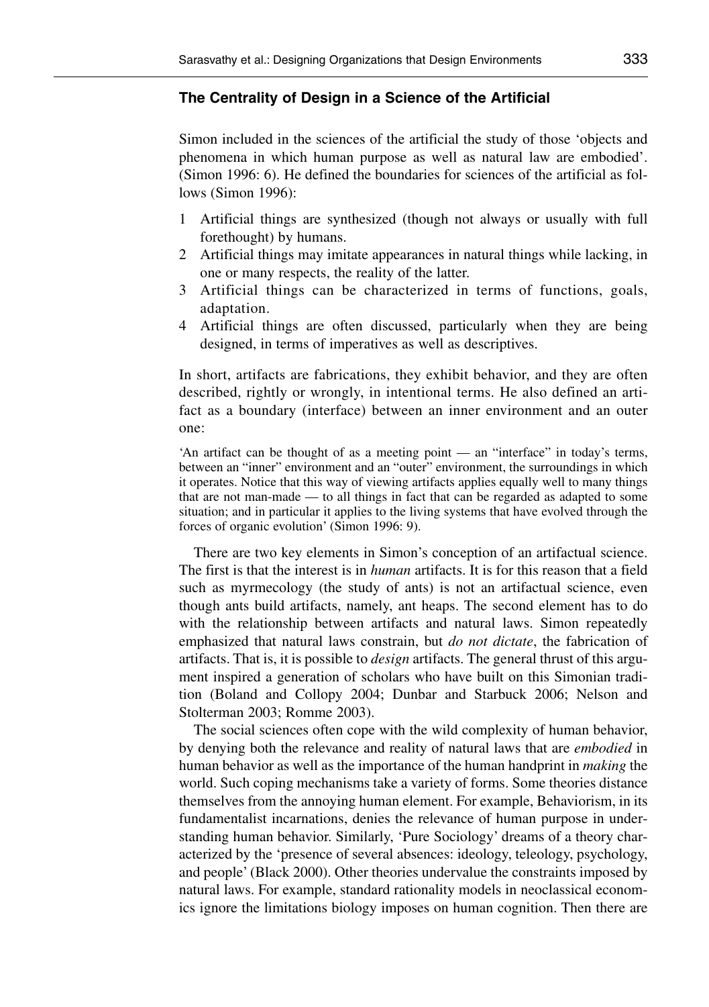# **The Centrality of Design in a Science of the Artificial**

Simon included in the sciences of the artificial the study of those 'objects and phenomena in which human purpose as well as natural law are embodied'. (Simon 1996: 6). He defined the boundaries for sciences of the artificial as follows (Simon 1996):

- 1 Artificial things are synthesized (though not always or usually with full forethought) by humans.
- 2 Artificial things may imitate appearances in natural things while lacking, in one or many respects, the reality of the latter.
- 3 Artificial things can be characterized in terms of functions, goals, adaptation.
- 4 Artificial things are often discussed, particularly when they are being designed, in terms of imperatives as well as descriptives.

In short, artifacts are fabrications, they exhibit behavior, and they are often described, rightly or wrongly, in intentional terms. He also defined an artifact as a boundary (interface) between an inner environment and an outer one:

'An artifact can be thought of as a meeting point — an "interface" in today's terms, between an "inner" environment and an "outer" environment, the surroundings in which it operates. Notice that this way of viewing artifacts applies equally well to many things that are not man-made — to all things in fact that can be regarded as adapted to some situation; and in particular it applies to the living systems that have evolved through the forces of organic evolution' (Simon 1996: 9).

There are two key elements in Simon's conception of an artifactual science. The first is that the interest is in *human* artifacts. It is for this reason that a field such as myrmecology (the study of ants) is not an artifactual science, even though ants build artifacts, namely, ant heaps. The second element has to do with the relationship between artifacts and natural laws. Simon repeatedly emphasized that natural laws constrain, but *do not dictate*, the fabrication of artifacts. That is, it is possible to *design* artifacts. The general thrust of this argument inspired a generation of scholars who have built on this Simonian tradition (Boland and Collopy 2004; Dunbar and Starbuck 2006; Nelson and Stolterman 2003; Romme 2003).

The social sciences often cope with the wild complexity of human behavior, by denying both the relevance and reality of natural laws that are *embodied* in human behavior as well as the importance of the human handprint in *making* the world. Such coping mechanisms take a variety of forms. Some theories distance themselves from the annoying human element. For example, Behaviorism, in its fundamentalist incarnations, denies the relevance of human purpose in understanding human behavior. Similarly, 'Pure Sociology' dreams of a theory characterized by the 'presence of several absences: ideology, teleology, psychology, and people' (Black 2000). Other theories undervalue the constraints imposed by natural laws. For example, standard rationality models in neoclassical economics ignore the limitations biology imposes on human cognition. Then there are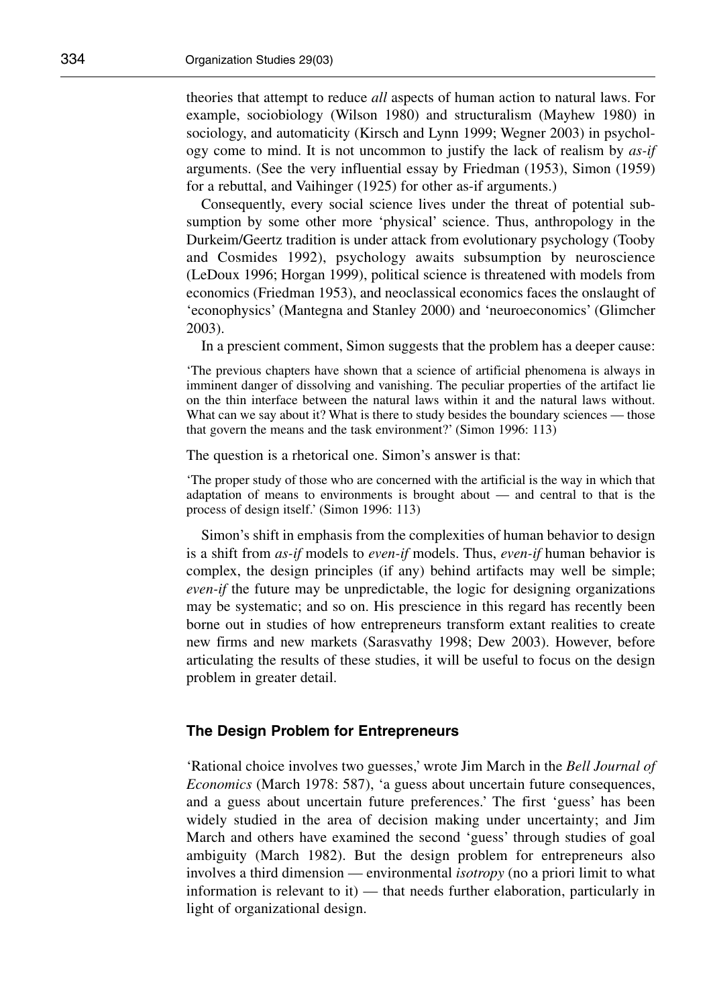theories that attempt to reduce *all* aspects of human action to natural laws. For example, sociobiology (Wilson 1980) and structuralism (Mayhew 1980) in sociology, and automaticity (Kirsch and Lynn 1999; Wegner 2003) in psychology come to mind. It is not uncommon to justify the lack of realism by *as-if* arguments. (See the very influential essay by Friedman (1953), Simon (1959) for a rebuttal, and Vaihinger (1925) for other as-if arguments.)

Consequently, every social science lives under the threat of potential subsumption by some other more 'physical' science. Thus, anthropology in the Durkeim/Geertz tradition is under attack from evolutionary psychology (Tooby and Cosmides 1992), psychology awaits subsumption by neuroscience (LeDoux 1996; Horgan 1999), political science is threatened with models from economics (Friedman 1953), and neoclassical economics faces the onslaught of 'econophysics' (Mantegna and Stanley 2000) and 'neuroeconomics' (Glimcher 2003).

In a prescient comment, Simon suggests that the problem has a deeper cause:

'The previous chapters have shown that a science of artificial phenomena is always in imminent danger of dissolving and vanishing. The peculiar properties of the artifact lie on the thin interface between the natural laws within it and the natural laws without. What can we say about it? What is there to study besides the boundary sciences — those that govern the means and the task environment?' (Simon 1996: 113)

The question is a rhetorical one. Simon's answer is that:

'The proper study of those who are concerned with the artificial is the way in which that adaptation of means to environments is brought about — and central to that is the process of design itself.' (Simon 1996: 113)

Simon's shift in emphasis from the complexities of human behavior to design is a shift from *as-if* models to *even-if* models. Thus, *even-if* human behavior is complex, the design principles (if any) behind artifacts may well be simple; *even-if* the future may be unpredictable, the logic for designing organizations may be systematic; and so on. His prescience in this regard has recently been borne out in studies of how entrepreneurs transform extant realities to create new firms and new markets (Sarasvathy 1998; Dew 2003). However, before articulating the results of these studies, it will be useful to focus on the design problem in greater detail.

### **The Design Problem for Entrepreneurs**

'Rational choice involves two guesses,' wrote Jim March in the *Bell Journal of Economics* (March 1978: 587), 'a guess about uncertain future consequences, and a guess about uncertain future preferences.' The first 'guess' has been widely studied in the area of decision making under uncertainty; and Jim March and others have examined the second 'guess' through studies of goal ambiguity (March 1982). But the design problem for entrepreneurs also involves a third dimension — environmental *isotropy* (no a priori limit to what information is relevant to it) — that needs further elaboration, particularly in light of organizational design.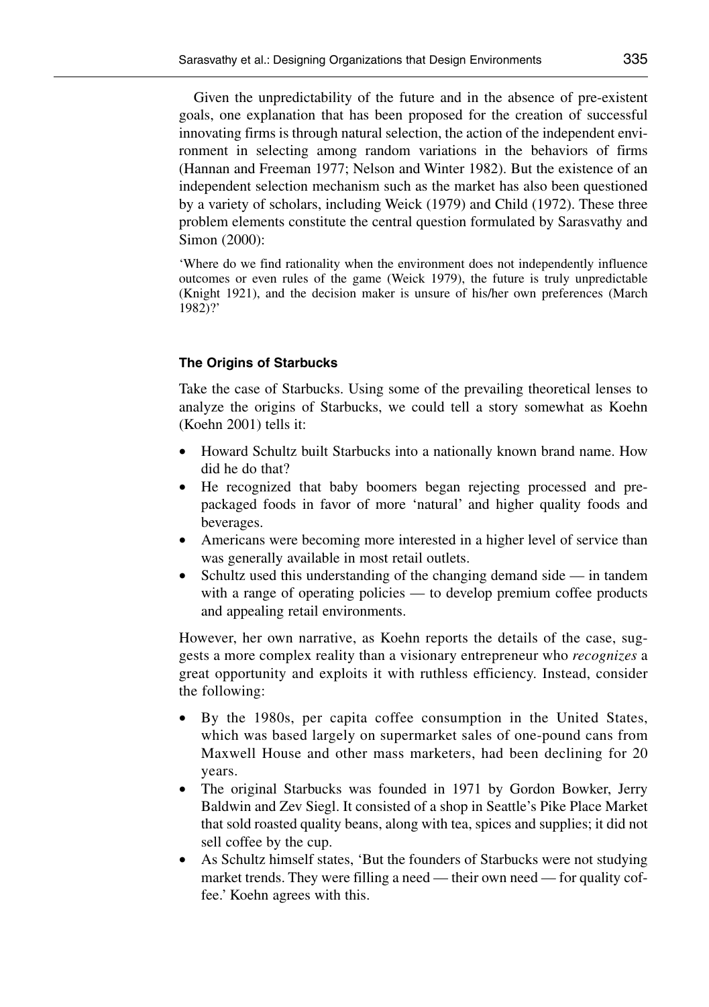Given the unpredictability of the future and in the absence of pre-existent goals, one explanation that has been proposed for the creation of successful innovating firms is through natural selection, the action of the independent environment in selecting among random variations in the behaviors of firms (Hannan and Freeman 1977; Nelson and Winter 1982). But the existence of an independent selection mechanism such as the market has also been questioned by a variety of scholars, including Weick (1979) and Child (1972). These three problem elements constitute the central question formulated by Sarasvathy and Simon (2000):

'Where do we find rationality when the environment does not independently influence outcomes or even rules of the game (Weick 1979), the future is truly unpredictable (Knight 1921), and the decision maker is unsure of his/her own preferences (March 1982)?'

# **The Origins of Starbucks**

Take the case of Starbucks. Using some of the prevailing theoretical lenses to analyze the origins of Starbucks, we could tell a story somewhat as Koehn (Koehn 2001) tells it:

- Howard Schultz built Starbucks into a nationally known brand name. How did he do that?
- He recognized that baby boomers began rejecting processed and prepackaged foods in favor of more 'natural' and higher quality foods and beverages.
- Americans were becoming more interested in a higher level of service than was generally available in most retail outlets.
- Schultz used this understanding of the changing demand side in tandem with a range of operating policies — to develop premium coffee products and appealing retail environments.

However, her own narrative, as Koehn reports the details of the case, suggests a more complex reality than a visionary entrepreneur who *recognizes* a great opportunity and exploits it with ruthless efficiency. Instead, consider the following:

- By the 1980s, per capita coffee consumption in the United States, which was based largely on supermarket sales of one-pound cans from Maxwell House and other mass marketers, had been declining for 20 years.
- The original Starbucks was founded in 1971 by Gordon Bowker, Jerry Baldwin and Zev Siegl. It consisted of a shop in Seattle's Pike Place Market that sold roasted quality beans, along with tea, spices and supplies; it did not sell coffee by the cup.
- As Schultz himself states, 'But the founders of Starbucks were not studying market trends. They were filling a need — their own need — for quality coffee.' Koehn agrees with this.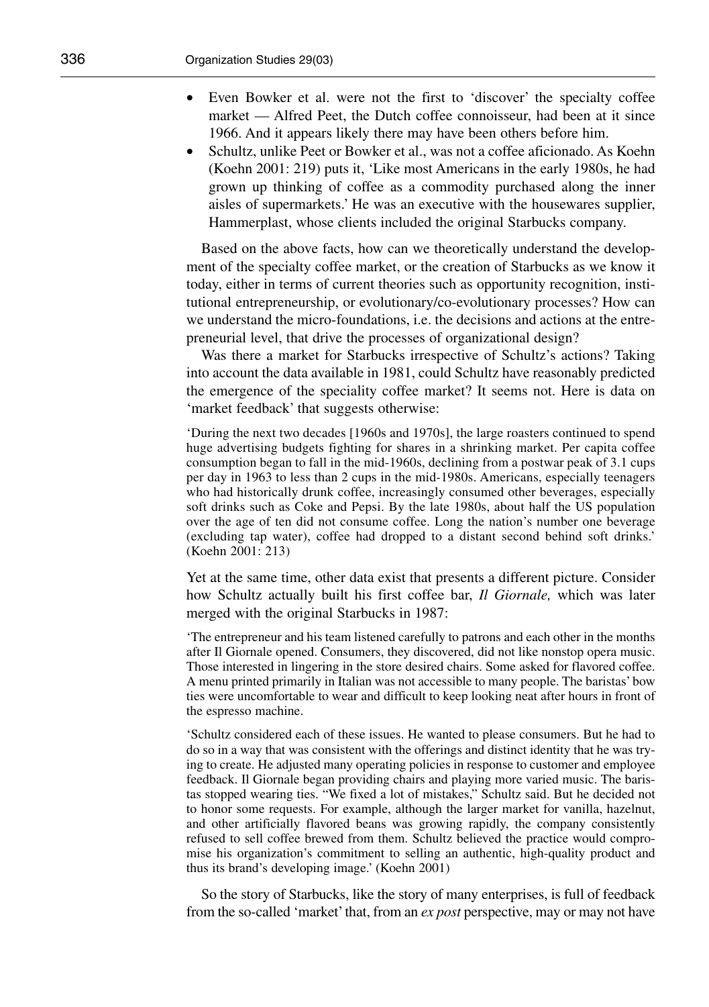- Even Bowker et al. were not the first to 'discover' the specialty coffee market — Alfred Peet, the Dutch coffee connoisseur, had been at it since 1966. And it appears likely there may have been others before him.
- Schultz, unlike Peet or Bowker et al., was not a coffee aficionado. As Koehn (Koehn 2001: 219) puts it, 'Like most Americans in the early 1980s, he had grown up thinking of coffee as a commodity purchased along the inner aisles of supermarkets.' He was an executive with the housewares supplier, Hammerplast, whose clients included the original Starbucks company.

Based on the above facts, how can we theoretically understand the development of the specialty coffee market, or the creation of Starbucks as we know it today, either in terms of current theories such as opportunity recognition, institutional entrepreneurship, or evolutionary/co-evolutionary processes? How can we understand the micro-foundations, i.e. the decisions and actions at the entrepreneurial level, that drive the processes of organizational design?

Was there a market for Starbucks irrespective of Schultz's actions? Taking into account the data available in 1981, could Schultz have reasonably predicted the emergence of the speciality coffee market? It seems not. Here is data on 'market feedback' that suggests otherwise:

'During the next two decades [1960s and 1970s], the large roasters continued to spend huge advertising budgets fighting for shares in a shrinking market. Per capita coffee consumption began to fall in the mid-1960s, declining from a postwar peak of 3.1 cups per day in 1963 to less than 2 cups in the mid-1980s. Americans, especially teenagers who had historically drunk coffee, increasingly consumed other beverages, especially soft drinks such as Coke and Pepsi. By the late 1980s, about half the US population over the age of ten did not consume coffee. Long the nation's number one beverage (excluding tap water), coffee had dropped to a distant second behind soft drinks.' (Koehn 2001: 213)

Yet at the same time, other data exist that presents a different picture. Consider how Schultz actually built his first coffee bar, *Il Giornale,* which was later merged with the original Starbucks in 1987:

'The entrepreneur and his team listened carefully to patrons and each other in the months after Il Giornale opened. Consumers, they discovered, did not like nonstop opera music. Those interested in lingering in the store desired chairs. Some asked for flavored coffee. A menu printed primarily in Italian was not accessible to many people. The baristas' bow ties were uncomfortable to wear and difficult to keep looking neat after hours in front of the espresso machine.

'Schultz considered each of these issues. He wanted to please consumers. But he had to do so in a way that was consistent with the offerings and distinct identity that he was trying to create. He adjusted many operating policies in response to customer and employee feedback. Il Giornale began providing chairs and playing more varied music. The baristas stopped wearing ties. "We fixed a lot of mistakes," Schultz said. But he decided not to honor some requests. For example, although the larger market for vanilla, hazelnut, and other artificially flavored beans was growing rapidly, the company consistently refused to sell coffee brewed from them. Schultz believed the practice would compromise his organization's commitment to selling an authentic, high-quality product and thus its brand's developing image.' (Koehn 2001)

So the story of Starbucks, like the story of many enterprises, is full of feedback from the so-called 'market' that, from an *ex post* perspective, may or may not have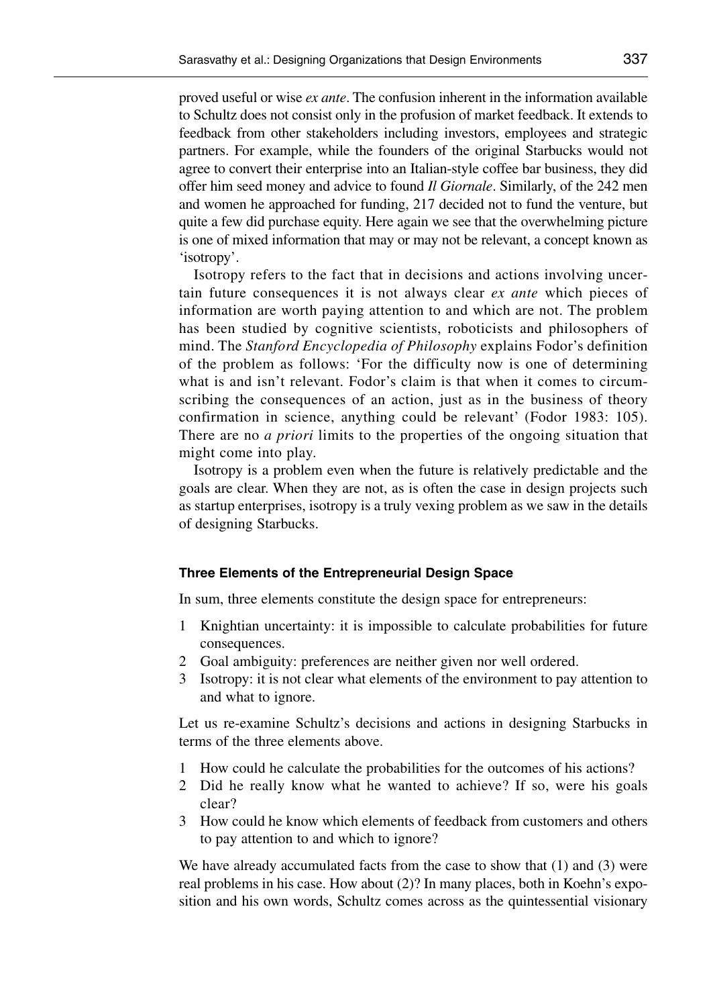proved useful or wise *ex ante*. The confusion inherent in the information available to Schultz does not consist only in the profusion of market feedback. It extends to feedback from other stakeholders including investors, employees and strategic partners. For example, while the founders of the original Starbucks would not agree to convert their enterprise into an Italian-style coffee bar business, they did offer him seed money and advice to found *Il Giornale*. Similarly, of the 242 men and women he approached for funding, 217 decided not to fund the venture, but quite a few did purchase equity. Here again we see that the overwhelming picture is one of mixed information that may or may not be relevant, a concept known as 'isotropy'.

Isotropy refers to the fact that in decisions and actions involving uncertain future consequences it is not always clear *ex ante* which pieces of information are worth paying attention to and which are not. The problem has been studied by cognitive scientists, roboticists and philosophers of mind. The *Stanford Encyclopedia of Philosophy* explains Fodor's definition of the problem as follows: 'For the difficulty now is one of determining what is and isn't relevant. Fodor's claim is that when it comes to circumscribing the consequences of an action, just as in the business of theory confirmation in science, anything could be relevant' (Fodor 1983: 105). There are no *a priori* limits to the properties of the ongoing situation that might come into play.

Isotropy is a problem even when the future is relatively predictable and the goals are clear. When they are not, as is often the case in design projects such as startup enterprises, isotropy is a truly vexing problem as we saw in the details of designing Starbucks.

### **Three Elements of the Entrepreneurial Design Space**

In sum, three elements constitute the design space for entrepreneurs:

- 1 Knightian uncertainty: it is impossible to calculate probabilities for future consequences.
- 2 Goal ambiguity: preferences are neither given nor well ordered.
- 3 Isotropy: it is not clear what elements of the environment to pay attention to and what to ignore.

Let us re-examine Schultz's decisions and actions in designing Starbucks in terms of the three elements above.

- 1 How could he calculate the probabilities for the outcomes of his actions?
- 2 Did he really know what he wanted to achieve? If so, were his goals clear?
- 3 How could he know which elements of feedback from customers and others to pay attention to and which to ignore?

We have already accumulated facts from the case to show that (1) and (3) were real problems in his case. How about (2)? In many places, both in Koehn's exposition and his own words, Schultz comes across as the quintessential visionary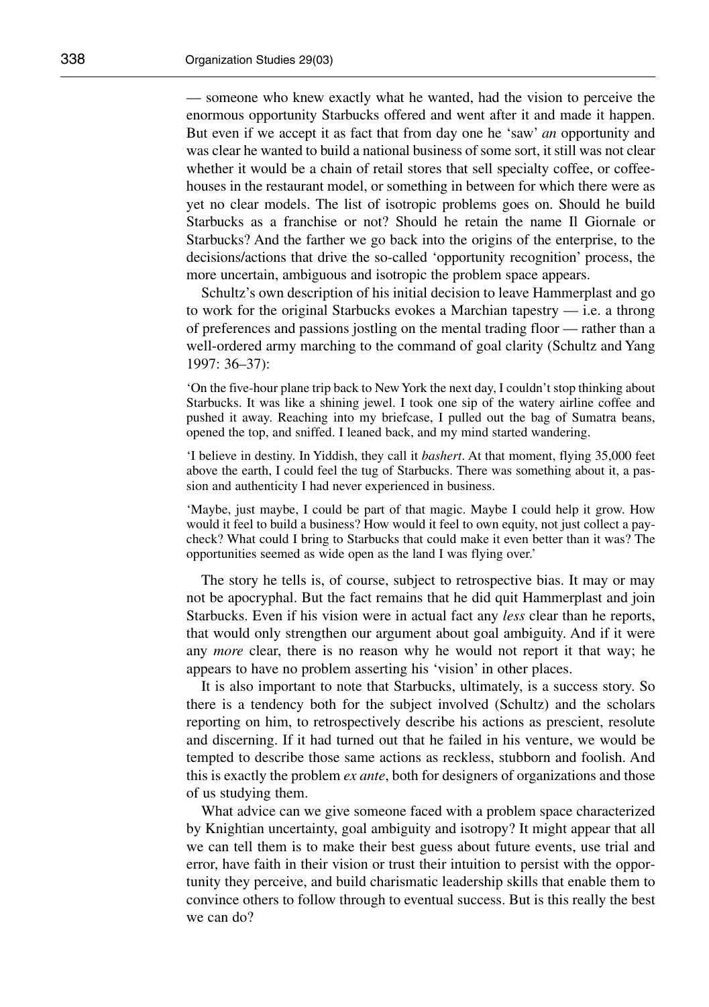— someone who knew exactly what he wanted, had the vision to perceive the enormous opportunity Starbucks offered and went after it and made it happen. But even if we accept it as fact that from day one he 'saw' *an* opportunity and was clear he wanted to build a national business of some sort, it still was not clear whether it would be a chain of retail stores that sell specialty coffee, or coffeehouses in the restaurant model, or something in between for which there were as yet no clear models. The list of isotropic problems goes on. Should he build Starbucks as a franchise or not? Should he retain the name Il Giornale or Starbucks? And the farther we go back into the origins of the enterprise, to the decisions/actions that drive the so-called 'opportunity recognition' process, the more uncertain, ambiguous and isotropic the problem space appears.

Schultz's own description of his initial decision to leave Hammerplast and go to work for the original Starbucks evokes a Marchian tapestry — i.e. a throng of preferences and passions jostling on the mental trading floor — rather than a well-ordered army marching to the command of goal clarity (Schultz and Yang 1997: 36–37):

'On the five-hour plane trip back to New York the next day, I couldn't stop thinking about Starbucks. It was like a shining jewel. I took one sip of the watery airline coffee and pushed it away. Reaching into my briefcase, I pulled out the bag of Sumatra beans, opened the top, and sniffed. I leaned back, and my mind started wandering.

'I believe in destiny. In Yiddish, they call it *bashert*. At that moment, flying 35,000 feet above the earth, I could feel the tug of Starbucks. There was something about it, a passion and authenticity I had never experienced in business.

'Maybe, just maybe, I could be part of that magic. Maybe I could help it grow. How would it feel to build a business? How would it feel to own equity, not just collect a paycheck? What could I bring to Starbucks that could make it even better than it was? The opportunities seemed as wide open as the land I was flying over.'

The story he tells is, of course, subject to retrospective bias. It may or may not be apocryphal. But the fact remains that he did quit Hammerplast and join Starbucks. Even if his vision were in actual fact any *less* clear than he reports, that would only strengthen our argument about goal ambiguity. And if it were any *more* clear, there is no reason why he would not report it that way; he appears to have no problem asserting his 'vision' in other places.

It is also important to note that Starbucks, ultimately, is a success story. So there is a tendency both for the subject involved (Schultz) and the scholars reporting on him, to retrospectively describe his actions as prescient, resolute and discerning. If it had turned out that he failed in his venture, we would be tempted to describe those same actions as reckless, stubborn and foolish. And this is exactly the problem *ex ante*, both for designers of organizations and those of us studying them.

What advice can we give someone faced with a problem space characterized by Knightian uncertainty, goal ambiguity and isotropy? It might appear that all we can tell them is to make their best guess about future events, use trial and error, have faith in their vision or trust their intuition to persist with the opportunity they perceive, and build charismatic leadership skills that enable them to convince others to follow through to eventual success. But is this really the best we can do?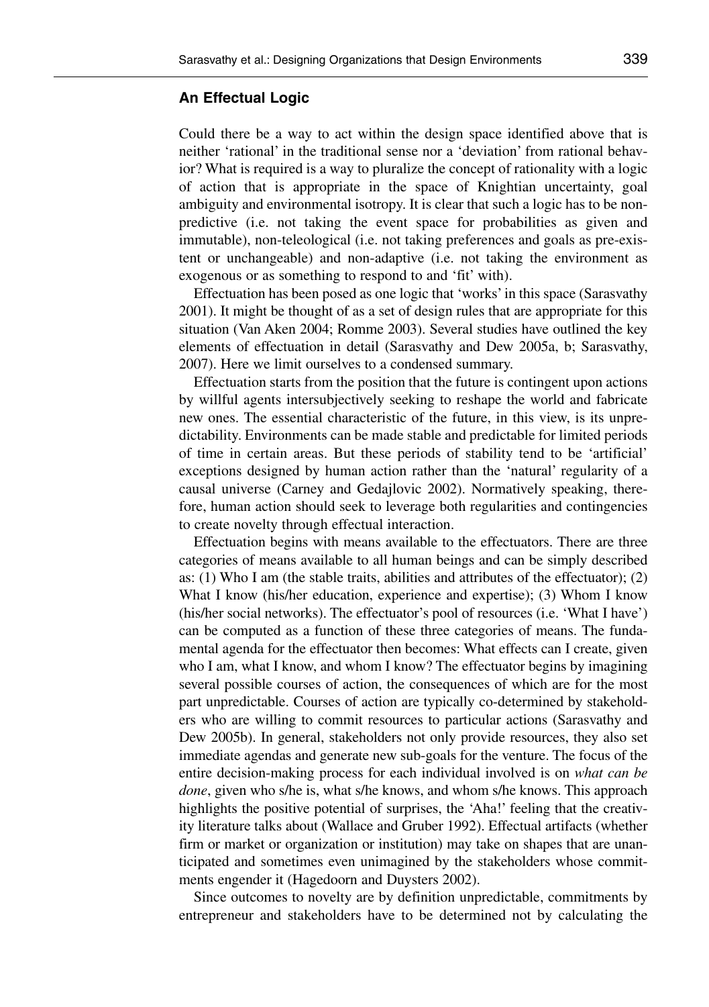## **An Effectual Logic**

Could there be a way to act within the design space identified above that is neither 'rational' in the traditional sense nor a 'deviation' from rational behavior? What is required is a way to pluralize the concept of rationality with a logic of action that is appropriate in the space of Knightian uncertainty, goal ambiguity and environmental isotropy. It is clear that such a logic has to be nonpredictive (i.e. not taking the event space for probabilities as given and immutable), non-teleological (i.e. not taking preferences and goals as pre-existent or unchangeable) and non-adaptive (i.e. not taking the environment as exogenous or as something to respond to and 'fit' with).

Effectuation has been posed as one logic that 'works' in this space (Sarasvathy 2001). It might be thought of as a set of design rules that are appropriate for this situation (Van Aken 2004; Romme 2003). Several studies have outlined the key elements of effectuation in detail (Sarasvathy and Dew 2005a, b; Sarasvathy, 2007). Here we limit ourselves to a condensed summary.

Effectuation starts from the position that the future is contingent upon actions by willful agents intersubjectively seeking to reshape the world and fabricate new ones. The essential characteristic of the future, in this view, is its unpredictability. Environments can be made stable and predictable for limited periods of time in certain areas. But these periods of stability tend to be 'artificial' exceptions designed by human action rather than the 'natural' regularity of a causal universe (Carney and Gedajlovic 2002). Normatively speaking, therefore, human action should seek to leverage both regularities and contingencies to create novelty through effectual interaction.

Effectuation begins with means available to the effectuators. There are three categories of means available to all human beings and can be simply described as: (1) Who I am (the stable traits, abilities and attributes of the effectuator); (2) What I know (his/her education, experience and expertise); (3) Whom I know (his/her social networks). The effectuator's pool of resources (i.e. 'What I have') can be computed as a function of these three categories of means. The fundamental agenda for the effectuator then becomes: What effects can I create, given who I am, what I know, and whom I know? The effectuator begins by imagining several possible courses of action, the consequences of which are for the most part unpredictable. Courses of action are typically co-determined by stakeholders who are willing to commit resources to particular actions (Sarasvathy and Dew 2005b). In general, stakeholders not only provide resources, they also set immediate agendas and generate new sub-goals for the venture. The focus of the entire decision-making process for each individual involved is on *what can be done*, given who s/he is, what s/he knows, and whom s/he knows. This approach highlights the positive potential of surprises, the 'Aha!' feeling that the creativity literature talks about (Wallace and Gruber 1992). Effectual artifacts (whether firm or market or organization or institution) may take on shapes that are unanticipated and sometimes even unimagined by the stakeholders whose commitments engender it (Hagedoorn and Duysters 2002).

Since outcomes to novelty are by definition unpredictable, commitments by entrepreneur and stakeholders have to be determined not by calculating the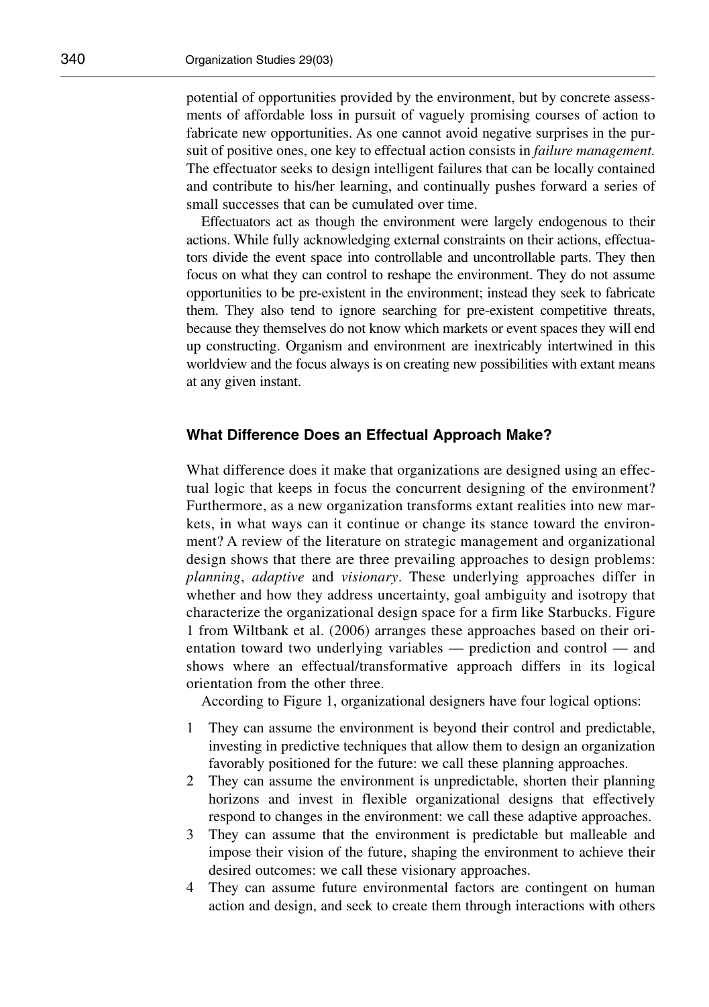potential of opportunities provided by the environment, but by concrete assessments of affordable loss in pursuit of vaguely promising courses of action to fabricate new opportunities. As one cannot avoid negative surprises in the pursuit of positive ones, one key to effectual action consists in *failure management.* The effectuator seeks to design intelligent failures that can be locally contained and contribute to his/her learning, and continually pushes forward a series of small successes that can be cumulated over time.

Effectuators act as though the environment were largely endogenous to their actions. While fully acknowledging external constraints on their actions, effectuators divide the event space into controllable and uncontrollable parts. They then focus on what they can control to reshape the environment. They do not assume opportunities to be pre-existent in the environment; instead they seek to fabricate them. They also tend to ignore searching for pre-existent competitive threats, because they themselves do not know which markets or event spaces they will end up constructing. Organism and environment are inextricably intertwined in this worldview and the focus always is on creating new possibilities with extant means at any given instant.

## **What Difference Does an Effectual Approach Make?**

What difference does it make that organizations are designed using an effectual logic that keeps in focus the concurrent designing of the environment? Furthermore, as a new organization transforms extant realities into new markets, in what ways can it continue or change its stance toward the environment? A review of the literature on strategic management and organizational design shows that there are three prevailing approaches to design problems: *planning*, *adaptive* and *visionary*. These underlying approaches differ in whether and how they address uncertainty, goal ambiguity and isotropy that characterize the organizational design space for a firm like Starbucks. Figure 1 from Wiltbank et al. (2006) arranges these approaches based on their orientation toward two underlying variables — prediction and control — and shows where an effectual/transformative approach differs in its logical orientation from the other three.

According to Figure 1, organizational designers have four logical options:

- 1 They can assume the environment is beyond their control and predictable, investing in predictive techniques that allow them to design an organization favorably positioned for the future: we call these planning approaches.
- 2 They can assume the environment is unpredictable, shorten their planning horizons and invest in flexible organizational designs that effectively respond to changes in the environment: we call these adaptive approaches.
- 3 They can assume that the environment is predictable but malleable and impose their vision of the future, shaping the environment to achieve their desired outcomes: we call these visionary approaches.
- 4 They can assume future environmental factors are contingent on human action and design, and seek to create them through interactions with others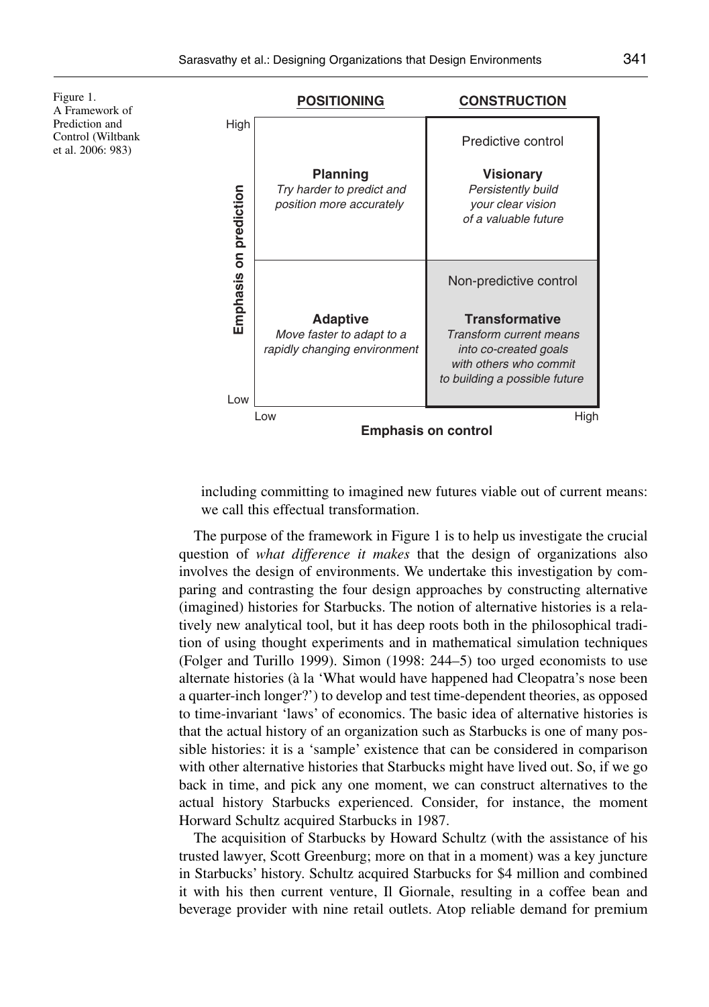Figure 1. A Framework of Prediction and Control (Wiltbank et al. 2006: 983)



including committing to imagined new futures viable out of current means: we call this effectual transformation.

The purpose of the framework in Figure 1 is to help us investigate the crucial question of *what difference it makes* that the design of organizations also involves the design of environments. We undertake this investigation by comparing and contrasting the four design approaches by constructing alternative (imagined) histories for Starbucks. The notion of alternative histories is a relatively new analytical tool, but it has deep roots both in the philosophical tradition of using thought experiments and in mathematical simulation techniques (Folger and Turillo 1999). Simon (1998: 244–5) too urged economists to use alternate histories (à la 'What would have happened had Cleopatra's nose been a quarter-inch longer?') to develop and test time-dependent theories, as opposed to time-invariant 'laws' of economics. The basic idea of alternative histories is that the actual history of an organization such as Starbucks is one of many possible histories: it is a 'sample' existence that can be considered in comparison with other alternative histories that Starbucks might have lived out. So, if we go back in time, and pick any one moment, we can construct alternatives to the actual history Starbucks experienced. Consider, for instance, the moment Horward Schultz acquired Starbucks in 1987.

The acquisition of Starbucks by Howard Schultz (with the assistance of his trusted lawyer, Scott Greenburg; more on that in a moment) was a key juncture in Starbucks' history. Schultz acquired Starbucks for \$4 million and combined it with his then current venture, Il Giornale, resulting in a coffee bean and beverage provider with nine retail outlets. Atop reliable demand for premium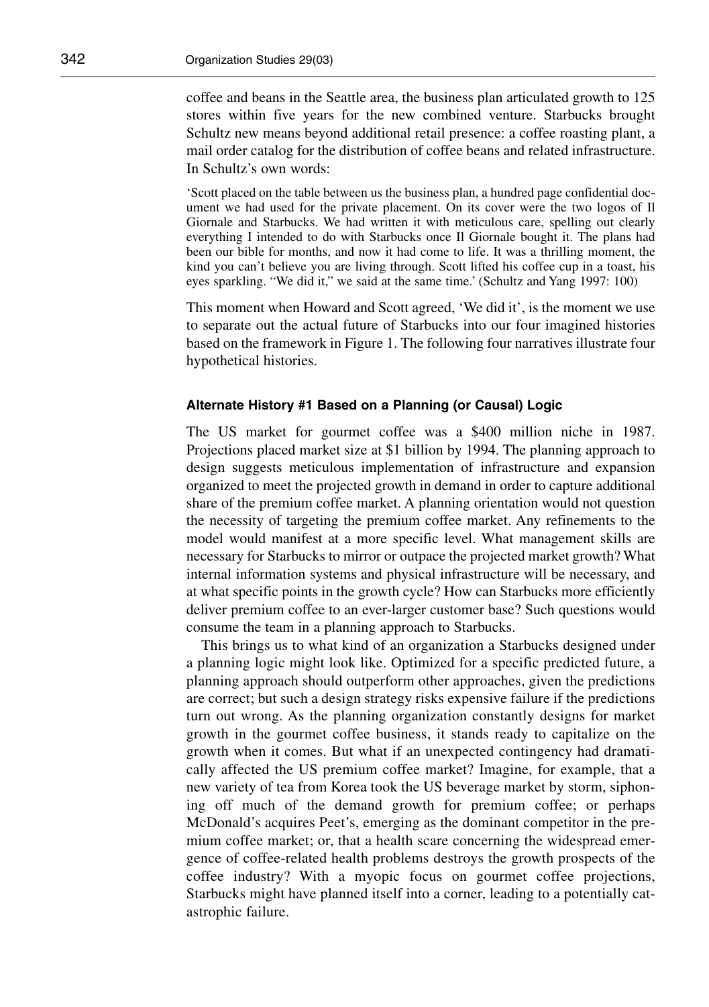coffee and beans in the Seattle area, the business plan articulated growth to 125 stores within five years for the new combined venture. Starbucks brought Schultz new means beyond additional retail presence: a coffee roasting plant, a mail order catalog for the distribution of coffee beans and related infrastructure. In Schultz's own words:

'Scott placed on the table between us the business plan, a hundred page confidential document we had used for the private placement. On its cover were the two logos of Il Giornale and Starbucks. We had written it with meticulous care, spelling out clearly everything I intended to do with Starbucks once Il Giornale bought it. The plans had been our bible for months, and now it had come to life. It was a thrilling moment, the kind you can't believe you are living through. Scott lifted his coffee cup in a toast, his eyes sparkling. "We did it," we said at the same time.' (Schultz and Yang 1997: 100)

This moment when Howard and Scott agreed, 'We did it', is the moment we use to separate out the actual future of Starbucks into our four imagined histories based on the framework in Figure 1. The following four narratives illustrate four hypothetical histories.

### **Alternate History #1 Based on a Planning (or Causal) Logic**

The US market for gourmet coffee was a \$400 million niche in 1987. Projections placed market size at \$1 billion by 1994. The planning approach to design suggests meticulous implementation of infrastructure and expansion organized to meet the projected growth in demand in order to capture additional share of the premium coffee market. A planning orientation would not question the necessity of targeting the premium coffee market. Any refinements to the model would manifest at a more specific level. What management skills are necessary for Starbucks to mirror or outpace the projected market growth? What internal information systems and physical infrastructure will be necessary, and at what specific points in the growth cycle? How can Starbucks more efficiently deliver premium coffee to an ever-larger customer base? Such questions would consume the team in a planning approach to Starbucks.

This brings us to what kind of an organization a Starbucks designed under a planning logic might look like. Optimized for a specific predicted future, a planning approach should outperform other approaches, given the predictions are correct; but such a design strategy risks expensive failure if the predictions turn out wrong. As the planning organization constantly designs for market growth in the gourmet coffee business, it stands ready to capitalize on the growth when it comes. But what if an unexpected contingency had dramatically affected the US premium coffee market? Imagine, for example, that a new variety of tea from Korea took the US beverage market by storm, siphoning off much of the demand growth for premium coffee; or perhaps McDonald's acquires Peet's, emerging as the dominant competitor in the premium coffee market; or, that a health scare concerning the widespread emergence of coffee-related health problems destroys the growth prospects of the coffee industry? With a myopic focus on gourmet coffee projections, Starbucks might have planned itself into a corner, leading to a potentially catastrophic failure.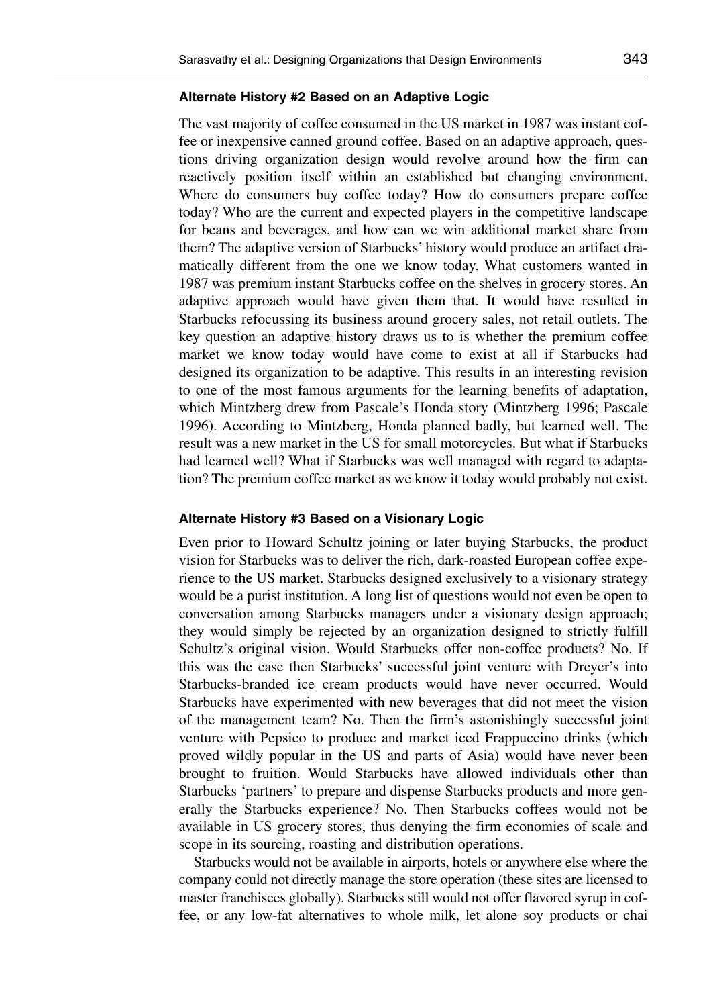## **Alternate History #2 Based on an Adaptive Logic**

The vast majority of coffee consumed in the US market in 1987 was instant coffee or inexpensive canned ground coffee. Based on an adaptive approach, questions driving organization design would revolve around how the firm can reactively position itself within an established but changing environment. Where do consumers buy coffee today? How do consumers prepare coffee today? Who are the current and expected players in the competitive landscape for beans and beverages, and how can we win additional market share from them? The adaptive version of Starbucks' history would produce an artifact dramatically different from the one we know today. What customers wanted in 1987 was premium instant Starbucks coffee on the shelves in grocery stores. An adaptive approach would have given them that. It would have resulted in Starbucks refocussing its business around grocery sales, not retail outlets. The key question an adaptive history draws us to is whether the premium coffee market we know today would have come to exist at all if Starbucks had designed its organization to be adaptive. This results in an interesting revision to one of the most famous arguments for the learning benefits of adaptation, which Mintzberg drew from Pascale's Honda story (Mintzberg 1996; Pascale 1996). According to Mintzberg, Honda planned badly, but learned well. The result was a new market in the US for small motorcycles. But what if Starbucks had learned well? What if Starbucks was well managed with regard to adaptation? The premium coffee market as we know it today would probably not exist.

## **Alternate History #3 Based on a Visionary Logic**

Even prior to Howard Schultz joining or later buying Starbucks, the product vision for Starbucks was to deliver the rich, dark-roasted European coffee experience to the US market. Starbucks designed exclusively to a visionary strategy would be a purist institution. A long list of questions would not even be open to conversation among Starbucks managers under a visionary design approach; they would simply be rejected by an organization designed to strictly fulfill Schultz's original vision. Would Starbucks offer non-coffee products? No. If this was the case then Starbucks' successful joint venture with Dreyer's into Starbucks-branded ice cream products would have never occurred. Would Starbucks have experimented with new beverages that did not meet the vision of the management team? No. Then the firm's astonishingly successful joint venture with Pepsico to produce and market iced Frappuccino drinks (which proved wildly popular in the US and parts of Asia) would have never been brought to fruition. Would Starbucks have allowed individuals other than Starbucks 'partners' to prepare and dispense Starbucks products and more generally the Starbucks experience? No. Then Starbucks coffees would not be available in US grocery stores, thus denying the firm economies of scale and scope in its sourcing, roasting and distribution operations.

Starbucks would not be available in airports, hotels or anywhere else where the company could not directly manage the store operation (these sites are licensed to master franchisees globally). Starbucks still would not offer flavored syrup in coffee, or any low-fat alternatives to whole milk, let alone soy products or chai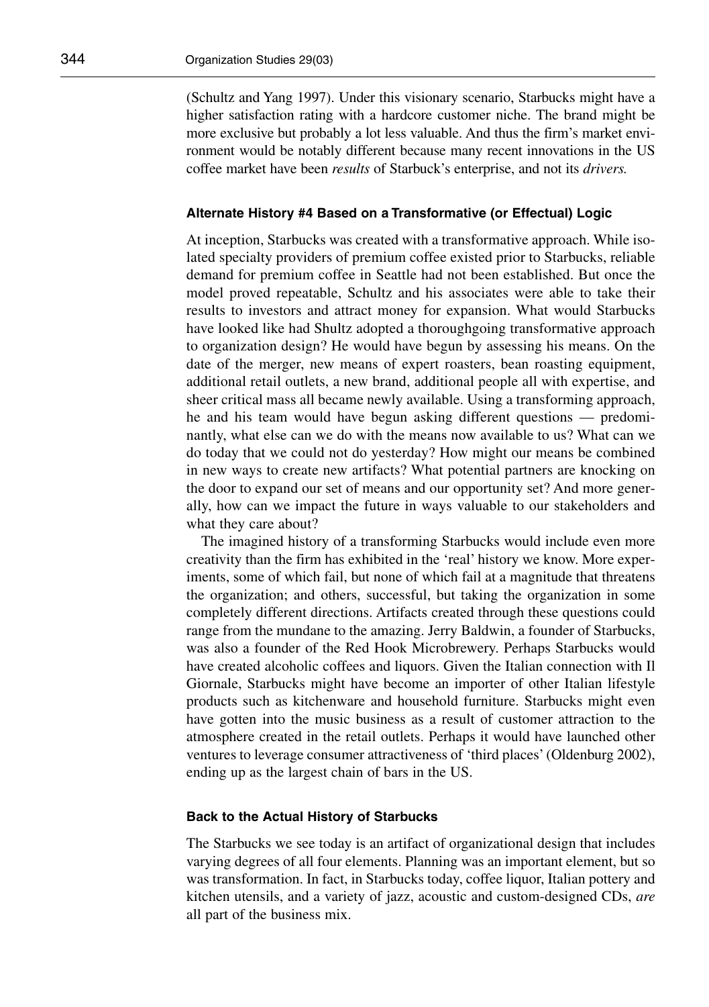(Schultz and Yang 1997). Under this visionary scenario, Starbucks might have a higher satisfaction rating with a hardcore customer niche. The brand might be more exclusive but probably a lot less valuable. And thus the firm's market environment would be notably different because many recent innovations in the US coffee market have been *results* of Starbuck's enterprise, and not its *drivers.*

## **Alternate History #4 Based on a Transformative (or Effectual) Logic**

At inception, Starbucks was created with a transformative approach. While isolated specialty providers of premium coffee existed prior to Starbucks, reliable demand for premium coffee in Seattle had not been established. But once the model proved repeatable, Schultz and his associates were able to take their results to investors and attract money for expansion. What would Starbucks have looked like had Shultz adopted a thoroughgoing transformative approach to organization design? He would have begun by assessing his means. On the date of the merger, new means of expert roasters, bean roasting equipment, additional retail outlets, a new brand, additional people all with expertise, and sheer critical mass all became newly available. Using a transforming approach, he and his team would have begun asking different questions — predominantly, what else can we do with the means now available to us? What can we do today that we could not do yesterday? How might our means be combined in new ways to create new artifacts? What potential partners are knocking on the door to expand our set of means and our opportunity set? And more generally, how can we impact the future in ways valuable to our stakeholders and what they care about?

The imagined history of a transforming Starbucks would include even more creativity than the firm has exhibited in the 'real' history we know. More experiments, some of which fail, but none of which fail at a magnitude that threatens the organization; and others, successful, but taking the organization in some completely different directions. Artifacts created through these questions could range from the mundane to the amazing. Jerry Baldwin, a founder of Starbucks, was also a founder of the Red Hook Microbrewery. Perhaps Starbucks would have created alcoholic coffees and liquors. Given the Italian connection with Il Giornale, Starbucks might have become an importer of other Italian lifestyle products such as kitchenware and household furniture. Starbucks might even have gotten into the music business as a result of customer attraction to the atmosphere created in the retail outlets. Perhaps it would have launched other ventures to leverage consumer attractiveness of 'third places' (Oldenburg 2002), ending up as the largest chain of bars in the US.

## **Back to the Actual History of Starbucks**

The Starbucks we see today is an artifact of organizational design that includes varying degrees of all four elements. Planning was an important element, but so was transformation. In fact, in Starbucks today, coffee liquor, Italian pottery and kitchen utensils, and a variety of jazz, acoustic and custom-designed CDs, *are* all part of the business mix.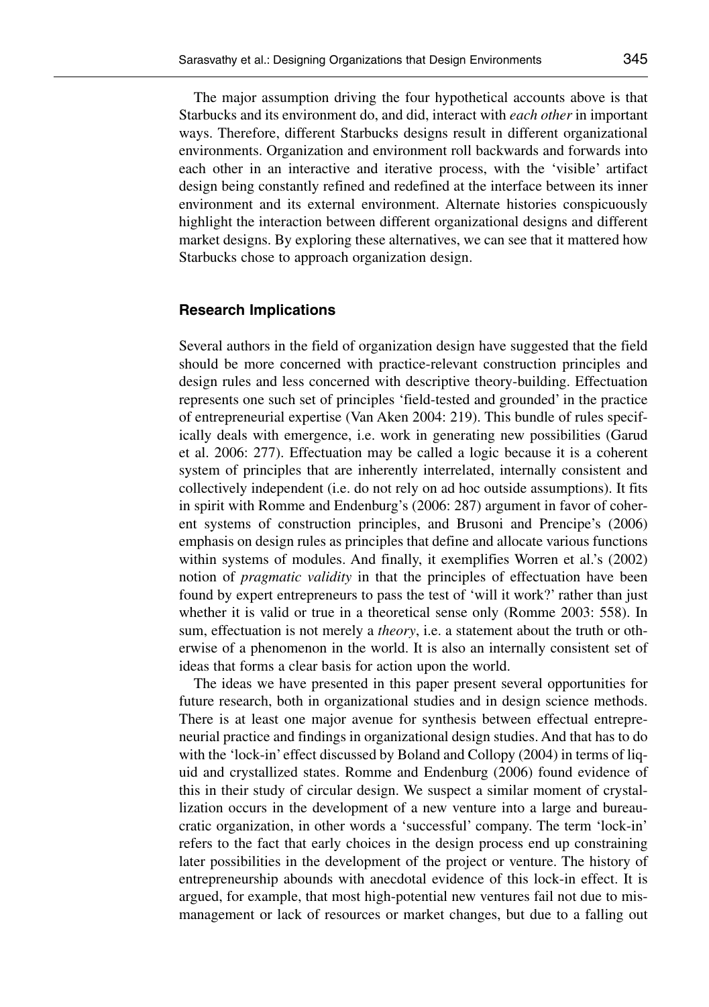Starbucks chose to approach organization design.

The major assumption driving the four hypothetical accounts above is that Starbucks and its environment do, and did, interact with *each other* in important ways. Therefore, different Starbucks designs result in different organizational environments. Organization and environment roll backwards and forwards into each other in an interactive and iterative process, with the 'visible' artifact design being constantly refined and redefined at the interface between its inner environment and its external environment. Alternate histories conspicuously highlight the interaction between different organizational designs and different

market designs. By exploring these alternatives, we can see that it mattered how

## **Research Implications**

Several authors in the field of organization design have suggested that the field should be more concerned with practice-relevant construction principles and design rules and less concerned with descriptive theory-building. Effectuation represents one such set of principles 'field-tested and grounded' in the practice of entrepreneurial expertise (Van Aken 2004: 219). This bundle of rules specifically deals with emergence, i.e. work in generating new possibilities (Garud et al. 2006: 277). Effectuation may be called a logic because it is a coherent system of principles that are inherently interrelated, internally consistent and collectively independent (i.e. do not rely on ad hoc outside assumptions). It fits in spirit with Romme and Endenburg's (2006: 287) argument in favor of coherent systems of construction principles, and Brusoni and Prencipe's (2006) emphasis on design rules as principles that define and allocate various functions within systems of modules. And finally, it exemplifies Worren et al.'s (2002) notion of *pragmatic validity* in that the principles of effectuation have been found by expert entrepreneurs to pass the test of 'will it work?' rather than just whether it is valid or true in a theoretical sense only (Romme 2003: 558). In sum, effectuation is not merely a *theory*, i.e. a statement about the truth or otherwise of a phenomenon in the world. It is also an internally consistent set of ideas that forms a clear basis for action upon the world.

The ideas we have presented in this paper present several opportunities for future research, both in organizational studies and in design science methods. There is at least one major avenue for synthesis between effectual entrepreneurial practice and findings in organizational design studies. And that has to do with the 'lock-in' effect discussed by Boland and Collopy (2004) in terms of liquid and crystallized states. Romme and Endenburg (2006) found evidence of this in their study of circular design. We suspect a similar moment of crystallization occurs in the development of a new venture into a large and bureaucratic organization, in other words a 'successful' company. The term 'lock-in' refers to the fact that early choices in the design process end up constraining later possibilities in the development of the project or venture. The history of entrepreneurship abounds with anecdotal evidence of this lock-in effect. It is argued, for example, that most high-potential new ventures fail not due to mismanagement or lack of resources or market changes, but due to a falling out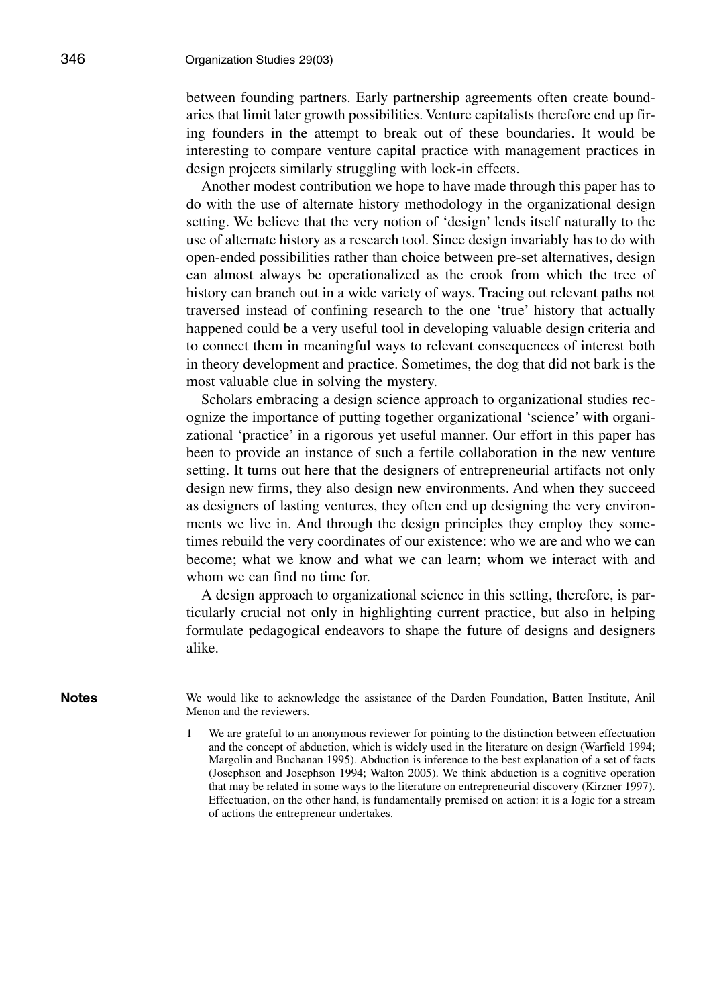between founding partners. Early partnership agreements often create boundaries that limit later growth possibilities. Venture capitalists therefore end up firing founders in the attempt to break out of these boundaries. It would be interesting to compare venture capital practice with management practices in design projects similarly struggling with lock-in effects.

Another modest contribution we hope to have made through this paper has to do with the use of alternate history methodology in the organizational design setting. We believe that the very notion of 'design' lends itself naturally to the use of alternate history as a research tool. Since design invariably has to do with open-ended possibilities rather than choice between pre-set alternatives, design can almost always be operationalized as the crook from which the tree of history can branch out in a wide variety of ways. Tracing out relevant paths not traversed instead of confining research to the one 'true' history that actually happened could be a very useful tool in developing valuable design criteria and to connect them in meaningful ways to relevant consequences of interest both in theory development and practice. Sometimes, the dog that did not bark is the most valuable clue in solving the mystery.

Scholars embracing a design science approach to organizational studies recognize the importance of putting together organizational 'science' with organizational 'practice' in a rigorous yet useful manner. Our effort in this paper has been to provide an instance of such a fertile collaboration in the new venture setting. It turns out here that the designers of entrepreneurial artifacts not only design new firms, they also design new environments. And when they succeed as designers of lasting ventures, they often end up designing the very environments we live in. And through the design principles they employ they sometimes rebuild the very coordinates of our existence: who we are and who we can become; what we know and what we can learn; whom we interact with and whom we can find no time for.

A design approach to organizational science in this setting, therefore, is particularly crucial not only in highlighting current practice, but also in helping formulate pedagogical endeavors to shape the future of designs and designers alike.

We would like to acknowledge the assistance of the Darden Foundation, Batten Institute, Anil Menon and the reviewers.

1 We are grateful to an anonymous reviewer for pointing to the distinction between effectuation and the concept of abduction, which is widely used in the literature on design (Warfield 1994; Margolin and Buchanan 1995). Abduction is inference to the best explanation of a set of facts (Josephson and Josephson 1994; Walton 2005). We think abduction is a cognitive operation that may be related in some ways to the literature on entrepreneurial discovery (Kirzner 1997). Effectuation, on the other hand, is fundamentally premised on action: it is a logic for a stream of actions the entrepreneur undertakes.

**Notes**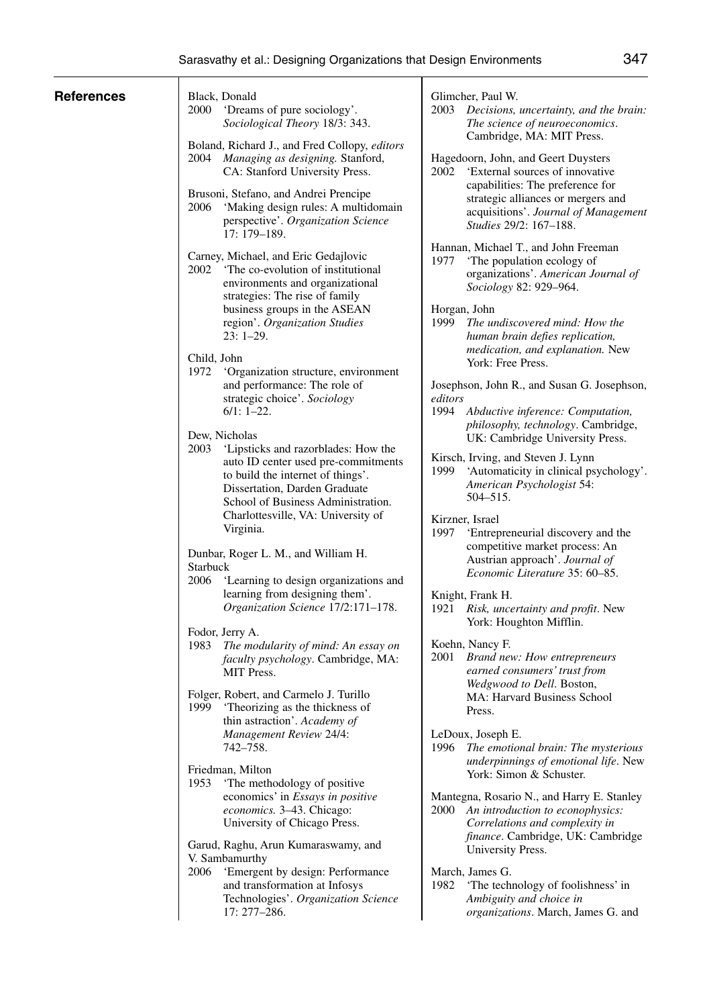$\top$ 

| <b>References</b> | Black, Donald<br>'Dreams of pure sociology'.<br>2000<br>Sociological Theory 18/3: 343.<br>Boland, Richard J., and Fred Collopy, <i>editors</i><br>2004 Managing as designing. Stanford,<br>CA: Stanford University Press.<br>Brusoni, Stefano, and Andrei Prencipe<br>2006<br>'Making design rules: A multidomain<br>perspective'. Organization Science<br>17: 179-189.<br>Carney, Michael, and Eric Gedajlovic<br>2002 The co-evolution of institutional<br>environments and organizational<br>strategies: The rise of family<br>business groups in the ASEAN<br>region'. Organization Studies<br>$23:1-29.$<br>Child, John<br>'Organization structure, environment<br>1972<br>and performance: The role of<br>strategic choice'. Sociology<br>$6/1: 1-22.$<br>Dew, Nicholas<br>2003<br>'Lipsticks and razorblades: How the<br>auto ID center used pre-commitments<br>to build the internet of things'.<br>Dissertation, Darden Graduate<br>School of Business Administration.<br>Charlottesville, VA: University of<br>Virginia.<br>Dunbar, Roger L. M., and William H.<br><b>Starbuck</b><br>2006<br>'Learning to design organizations and<br>learning from designing them'. | Glimcher, Paul W.<br>Decisions, uncertainty, and the brain:<br>2003<br>The science of neuroeconomics.<br>Cambridge, MA: MIT Press.<br>Hagedoorn, John, and Geert Duysters<br>'External sources of innovative<br>2002<br>capabilities: The preference for<br>strategic alliances or mergers and<br>acquisitions'. Journal of Management<br>Studies 29/2: 167-188.<br>Hannan, Michael T., and John Freeman<br>1977<br>The population ecology of<br>organizations'. American Journal of<br>Sociology 82: 929–964.<br>Horgan, John<br>1999<br>The undiscovered mind: How the<br>human brain defies replication,<br>medication, and explanation. New<br>York: Free Press.<br>Josephson, John R., and Susan G. Josephson,<br>editors<br>1994<br>Abductive inference: Computation,<br><i>philosophy, technology.</i> Cambridge,<br>UK: Cambridge University Press.<br>Kirsch, Irving, and Steven J. Lynn<br>'Automaticity in clinical psychology'.<br>1999<br>American Psychologist 54:<br>504-515.<br>Kirzner, Israel<br>'Entrepreneurial discovery and the<br>1997<br>competitive market process: An<br>Austrian approach'. Journal of<br>Economic Literature 35: 60-85.<br>Knight, Frank H. |
|-------------------|---------------------------------------------------------------------------------------------------------------------------------------------------------------------------------------------------------------------------------------------------------------------------------------------------------------------------------------------------------------------------------------------------------------------------------------------------------------------------------------------------------------------------------------------------------------------------------------------------------------------------------------------------------------------------------------------------------------------------------------------------------------------------------------------------------------------------------------------------------------------------------------------------------------------------------------------------------------------------------------------------------------------------------------------------------------------------------------------------------------------------------------------------------------------------------|-----------------------------------------------------------------------------------------------------------------------------------------------------------------------------------------------------------------------------------------------------------------------------------------------------------------------------------------------------------------------------------------------------------------------------------------------------------------------------------------------------------------------------------------------------------------------------------------------------------------------------------------------------------------------------------------------------------------------------------------------------------------------------------------------------------------------------------------------------------------------------------------------------------------------------------------------------------------------------------------------------------------------------------------------------------------------------------------------------------------------------------------------------------------------------------------|
|                   | Organization Science 17/2:171-178.<br>Fodor, Jerry A.<br>1983 The modularity of mind: An essay on<br>faculty psychology. Cambridge, MA:<br>MIT Press.<br>Folger, Robert, and Carmelo J. Turillo<br>'Theorizing as the thickness of<br>1999<br>thin astraction'. Academy of<br>Management Review 24/4:<br>742–758.<br>Friedman, Milton<br>The methodology of positive<br>1953<br>economics' in <i>Essays in positive</i><br>economics. 3–43. Chicago:<br>University of Chicago Press.<br>Garud, Raghu, Arun Kumaraswamy, and<br>V. Sambamurthy<br>2006 'Emergent by design: Performance<br>and transformation at Infosys<br>Technologies'. Organization Science<br>$17: 277 - 286.$                                                                                                                                                                                                                                                                                                                                                                                                                                                                                              | 1921<br>Risk, uncertainty and profit. New<br>York: Houghton Mifflin.<br>Koehn, Nancy F.<br>Brand new: How entrepreneurs<br>2001<br>earned consumers' trust from<br>Wedgwood to Dell. Boston,<br>MA: Harvard Business School<br>Press.<br>LeDoux, Joseph E.<br>1996 The emotional brain: The mysterious<br>underpinnings of emotional life. New<br>York: Simon & Schuster.<br>Mantegna, Rosario N., and Harry E. Stanley<br>An introduction to econophysics:<br>2000<br>Correlations and complexity in<br><i>finance</i> . Cambridge, UK: Cambridge<br>University Press.<br>March, James G.<br>'The technology of foolishness' in<br>1982<br>Ambiguity and choice in<br><i>organizations</i> . March, James G. and                                                                                                                                                                                                                                                                                                                                                                                                                                                                       |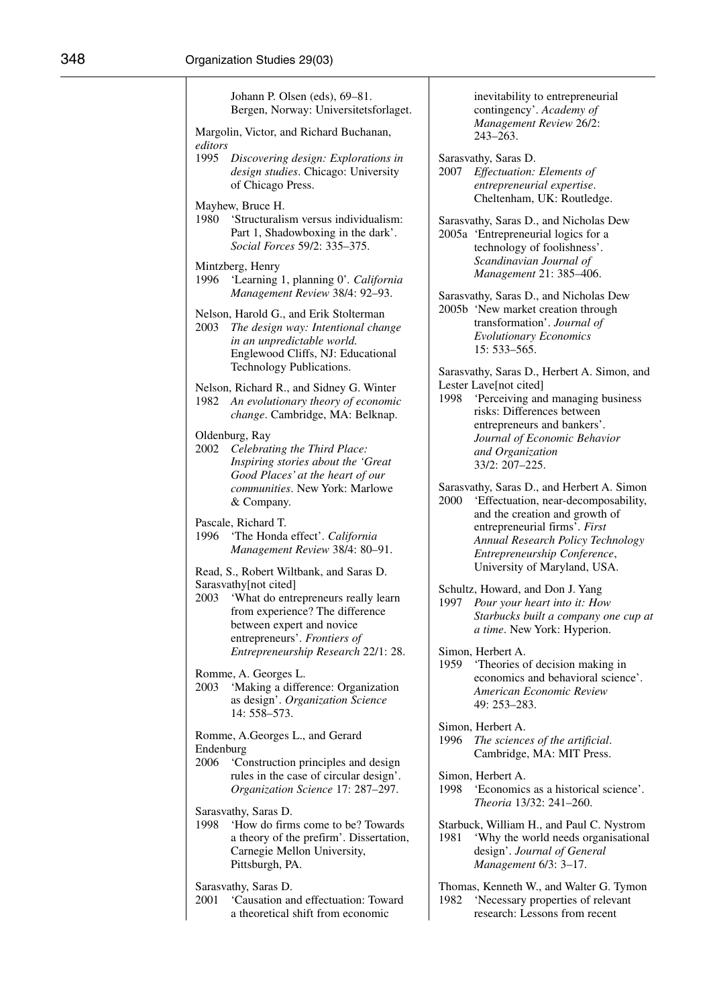|                                                    | Johann P. Olsen (eds), 69-81.<br>Bergen, Norway: Universitetsforlaget.                                                                                                                                                                         |  |
|----------------------------------------------------|------------------------------------------------------------------------------------------------------------------------------------------------------------------------------------------------------------------------------------------------|--|
| Margolin, Victor, and Richard Buchanan,<br>editors |                                                                                                                                                                                                                                                |  |
| 1995                                               | Discovering design: Explorations in<br>design studies. Chicago: University<br>of Chicago Press.                                                                                                                                                |  |
| 1980                                               | Mayhew, Bruce H.<br>'Structuralism versus individualism:<br>Part 1, Shadowboxing in the dark'.<br>Social Forces 59/2: 335-375.                                                                                                                 |  |
| 1996                                               | Mintzberg, Henry<br>'Learning 1, planning 0'. California<br>Management Review 38/4: 92-93.                                                                                                                                                     |  |
| 2003                                               | Nelson, Harold G., and Erik Stolterman<br>The design way: Intentional change<br>in an unpredictable world.<br>Englewood Cliffs, NJ: Educational<br>Technology Publications.                                                                    |  |
| 1982                                               | Nelson, Richard R., and Sidney G. Winter<br>An evolutionary theory of economic<br>change. Cambridge, MA: Belknap.                                                                                                                              |  |
| 2002                                               | Oldenburg, Ray<br>Celebrating the Third Place:<br>Inspiring stories about the 'Great<br>Good Places' at the heart of our<br>communities. New York: Marlowe<br>& Company.                                                                       |  |
| 1996                                               | Pascale, Richard T.<br>'The Honda effect'. California<br>Management Review 38/4: 80-91.                                                                                                                                                        |  |
| 2003                                               | Read, S., Robert Wiltbank, and Saras D.<br>Sarasvathy[not cited]<br>'What do entrepreneurs really learn<br>from experience? The difference<br>between expert and novice<br>entrepreneurs'. Frontiers of<br>Entrepreneurship Research 22/1: 28. |  |
| 2003                                               | Romme, A. Georges L.<br>'Making a difference: Organization<br>as design'. Organization Science<br>14: 558-573.                                                                                                                                 |  |
| Endenburg<br>2006                                  | Romme, A.Georges L., and Gerard<br>'Construction principles and design<br>rules in the case of circular design'.<br>Organization Science 17: 287-297.                                                                                          |  |
| 1998                                               | Sarasvathy, Saras D.<br>'How do firms come to be? Towards<br>a theory of the prefirm'. Dissertation,<br>Carnegie Mellon University,<br>Pittsburgh, PA.                                                                                         |  |
| 2001                                               | Sarasvathy, Saras D.<br>'Causation and effectuation: Toward                                                                                                                                                                                    |  |

a theoretical shift from economic

inevitability to entrepreneurial contingency'. *Academy of Management Review* 26/2:  $243 - 263$ 

Sarasvathy, Saras D. 2007 *Effectuation: Elements of entrepreneurial expertise* . Cheltenham, UK: Routledge.

Sarasvathy, Saras D., and Nicholas Dew 2005a 'Entrepreneurial logics for a technology of foolishness'. *Scandinavian Journal of Management* 21: 385–406.

Sarasvathy, Saras D., and Nicholas Dew 2005b 'New market creation through transformation'. *Journal of Evolutionary Economics* 15: 533–565.

Sarasvathy, Saras D., Herbert A. Simon, and Lester Lave[not cited]

1998 'Perceiving and managing business risks: Differences between entrepreneurs and bankers'. *Journal of Economic Behavior and Organization* 33/2: 207–225.

Sarasvathy, Saras D., and Herbert A. Simon

2000 'Effectuation, near-decomposability, and the creation and growth of entrepreneurial firms'. *First Annual Research Policy Technology Entrepreneurship Conference* , University of Maryland, USA.

Schultz, Howard, and Don J. Yang 1997 *Pour your heart into it: How Starbucks built a company one cup at a time*. New York: Hyperion.

Simon, Herbert A. 1959 'Theories of decision making in economics and behavioral science'. *American Economic Review* 49: 253–283.

Simon, Herbert A.

1996 *The sciences of the artificial* . Cambridge, MA: MIT Press.

Simon, Herbert A. 1998 'Economics as a historical science'. *Theoria* 13/32: 241–260.

Starbuck, William H., and Paul C. Nystrom 1981 'Why the world needs organisational design'. *Journal of General Management* 6/3: 3–17.

Thomas, Kenneth W., and Walter G. Tymon 1982 'Necessary properties of relevant research: Lessons from recent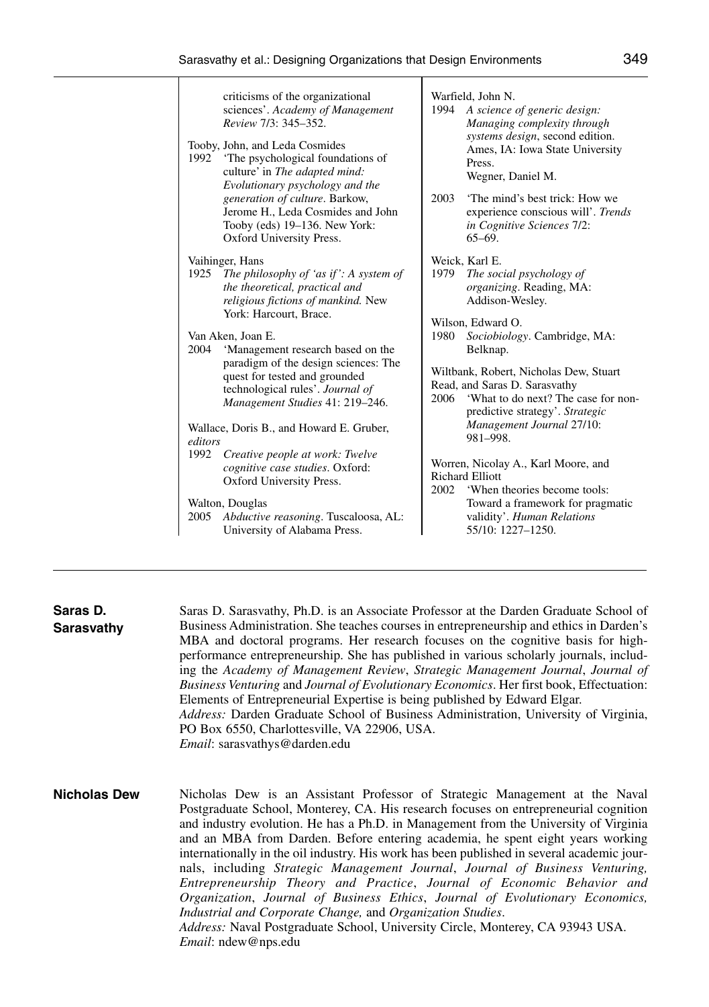|                                                                                                                                                                                                           | criticisms of the organizational<br>sciences'. Academy of Management<br>Review 7/3: 345-352.<br>Tooby, John, and Leda Cosmides<br>The psychological foundations of<br>1992<br>culture' in The adapted mind:<br>Evolutionary psychology and the<br>generation of culture. Barkow,<br>Jerome H., Leda Cosmides and John<br>Tooby (eds) 19–136. New York:<br>Oxford University Press.                                                           | Warfield, John N.<br>1994<br>A science of generic design:<br>Managing complexity through<br>systems design, second edition.<br>Ames, IA: Iowa State University<br>Press.<br>Wegner, Daniel M.<br>2003<br>'The mind's best trick: How we<br>experience conscious will'. Trends<br>in Cognitive Sciences 7/2:<br>$65 - 69.$                                                        |
|-----------------------------------------------------------------------------------------------------------------------------------------------------------------------------------------------------------|----------------------------------------------------------------------------------------------------------------------------------------------------------------------------------------------------------------------------------------------------------------------------------------------------------------------------------------------------------------------------------------------------------------------------------------------|----------------------------------------------------------------------------------------------------------------------------------------------------------------------------------------------------------------------------------------------------------------------------------------------------------------------------------------------------------------------------------|
|                                                                                                                                                                                                           | Vaihinger, Hans<br>The philosophy of 'as if': A system of<br>1925<br>the theoretical, practical and<br>religious fictions of mankind. New<br>York: Harcourt, Brace.<br>Van Aken. Joan E.<br>'Management research based on the<br>2004<br>paradigm of the design sciences: The<br>quest for tested and grounded<br>technological rules'. Journal of<br>Management Studies 41: 219-246.<br>Wallace, Doris B., and Howard E. Gruber,<br>editors | Weick, Karl E.<br>The social psychology of<br>1979<br>organizing. Reading, MA:<br>Addison-Wesley.<br>Wilson, Edward O.<br>1980<br>Sociobiology. Cambridge, MA:<br>Belknap.<br>Wiltbank, Robert, Nicholas Dew, Stuart<br>Read, and Saras D. Sarasvathy<br>'What to do next? The case for non-<br>2006<br>predictive strategy'. Strategic<br>Management Journal 27/10:<br>981-998. |
| 1992<br>Creative people at work: Twelve<br>cognitive case studies. Oxford:<br>Oxford University Press.<br>Walton, Douglas<br>Abductive reasoning. Tuscaloosa, AL:<br>2005<br>University of Alabama Press. | Worren, Nicolay A., Karl Moore, and<br><b>Richard Elliott</b><br>'When theories become tools:<br>2002<br>Toward a framework for pragmatic<br>validity'. Human Relations<br>55/10: 1227-1250.                                                                                                                                                                                                                                                 |                                                                                                                                                                                                                                                                                                                                                                                  |

Saras D. Sarasvathy, Ph.D. is an Associate Professor at the Darden Graduate School of Business Administration. She teaches courses in entrepreneurship and ethics in Darden's MBA and doctoral programs. Her research focuses on the cognitive basis for highperformance entrepreneurship. She has published in various scholarly journals, including the *Academy of Management Review*, *Strategic Management Journal*, *Journal of Business Venturing* and *Journal of Evolutionary Economics*. Her first book, Effectuation: Elements of Entrepreneurial Expertise is being published by Edward Elgar. *Address:* Darden Graduate School of Business Administration, University of Virginia, PO Box 6550, Charlottesville, VA 22906, USA. *Email*: sarasvathys@darden.edu **Saras D. Sarasvathy**

Nicholas Dew is an Assistant Professor of Strategic Management at the Naval Postgraduate School, Monterey, CA. His research focuses on entrepreneurial cognition and industry evolution. He has a Ph.D. in Management from the University of Virginia and an MBA from Darden. Before entering academia, he spent eight years working internationally in the oil industry. His work has been published in several academic journals, including *Strategic Management Journal*, *Journal of Business Venturing, Entrepreneurship Theory and Practice*, *Journal of Economic Behavior and Organization*, *Journal of Business Ethics*, *Journal of Evolutionary Economics, Industrial and Corporate Change,* and *Organization Studies*. *Address:* Naval Postgraduate School, University Circle, Monterey, CA 93943 USA. *Email*: ndew@nps.edu **Nicholas Dew**